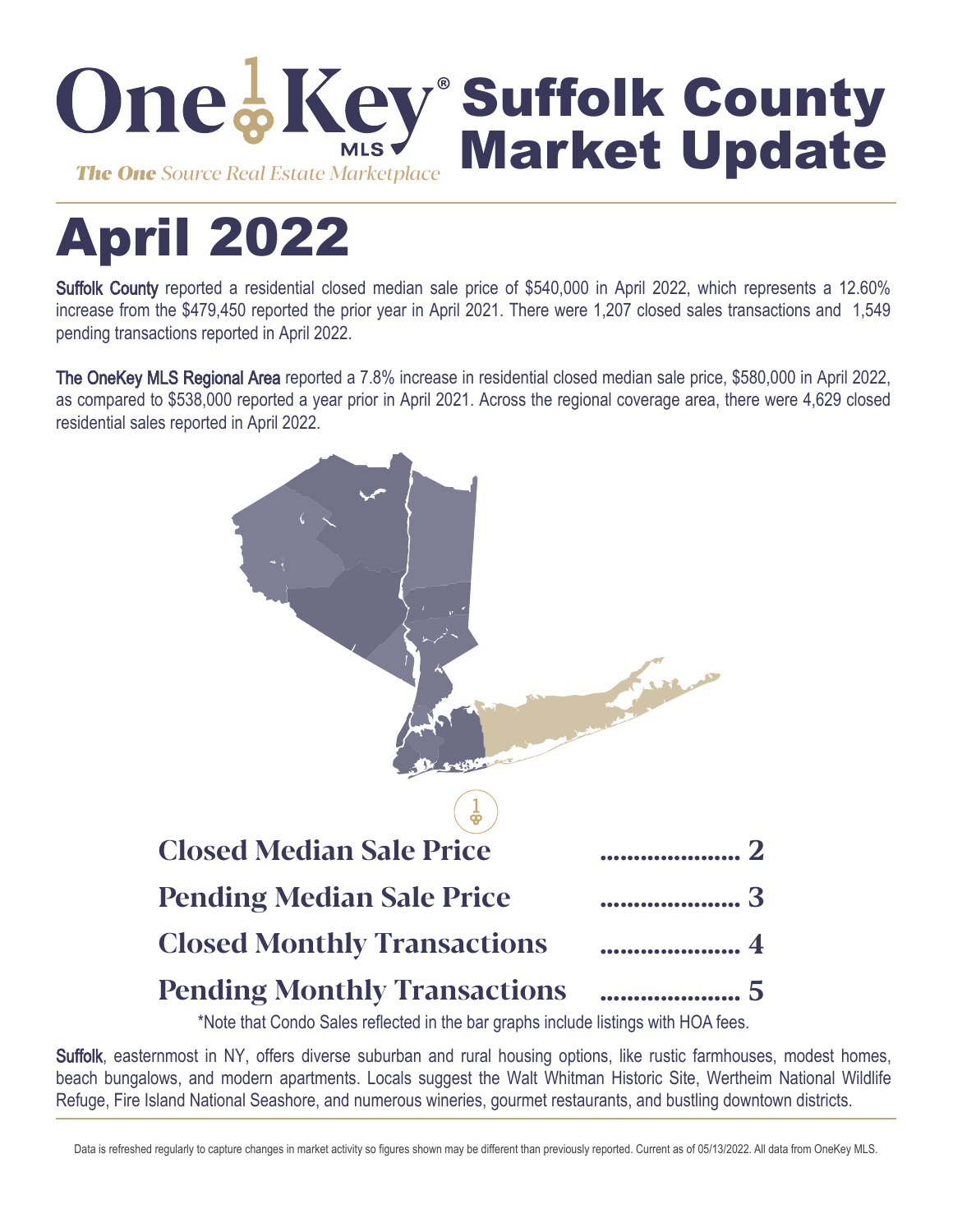

# April 2022

Suffolk County reported a residential closed median sale price of \$540,000 in April 2022, which represents a 12.60% increase from the \$479,450 reported the prior year in April 2021. There were 1,207 closed sales transactions and 1,549 pending transactions reported in April 2022.

The OneKey MLS Regional Area reported a 7.8% increase in residential closed median sale price, \$580,000 in April 2022, as compared to \$538,000 reported a year prior in April 2021. Across the regional coverage area, there were 4,629 closed residential sales reported in April 2022.



\*Note that Condo Sales reflected in the bar graphs include listings with HOA fees.

Suffolk, easternmost in NY, offers diverse suburban and rural housing options, like rustic farmhouses, modest homes, beach bungalows, and modern apartments. Locals suggest the Walt Whitman Historic Site, Wertheim National Wildlife Refuge, Fire Island National Seashore, and numerous wineries, gourmet restaurants, and bustling downtown districts.

Data is refreshed regularly to capture changes in market activity so figures shown may be different than previously reported. Current as of 05/13/2022. All data from OneKey MLS.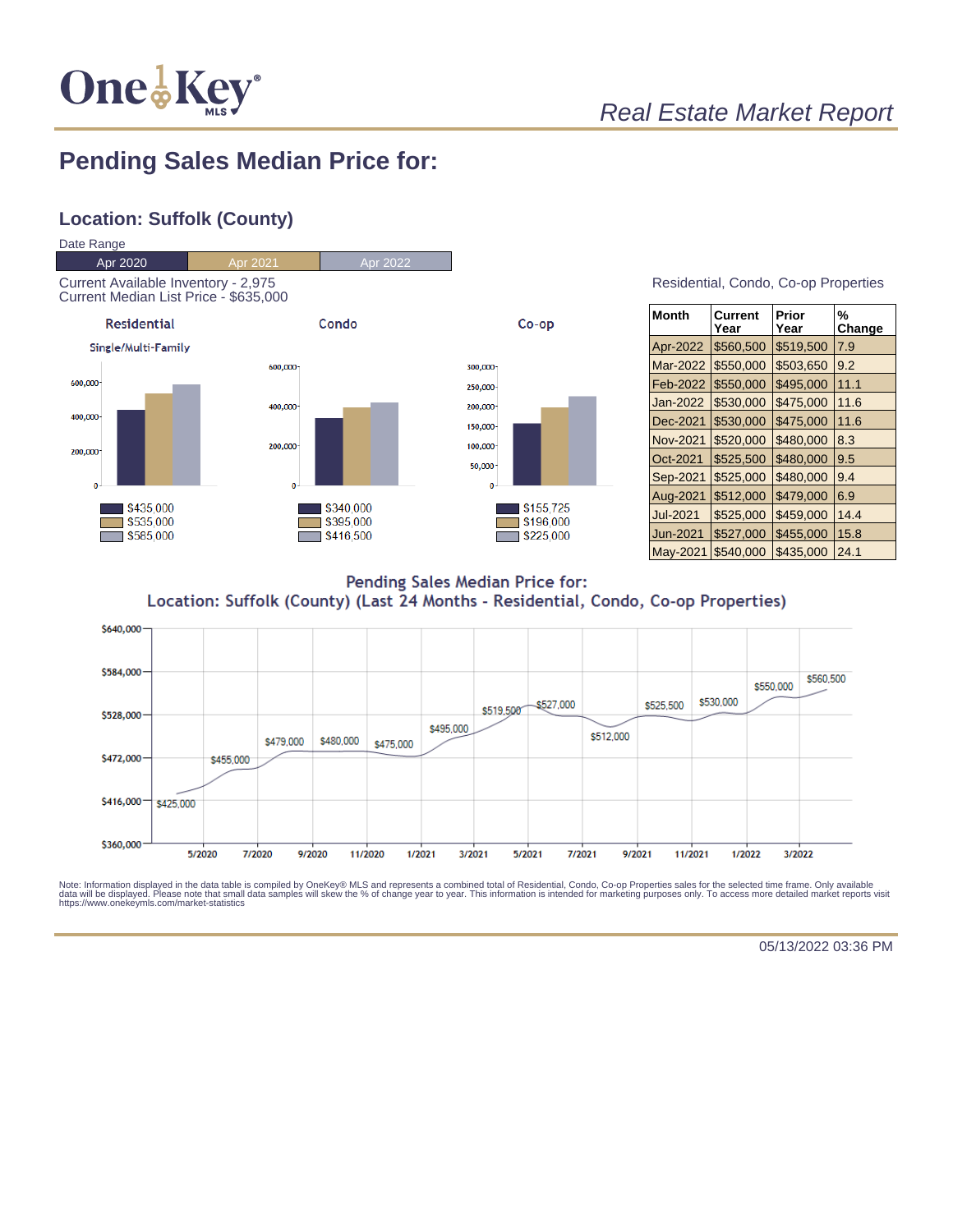

#### **Pending Sales Median Price for:**

#### **Location: Suffolk (County)**



| <b>Month</b>    | Current<br>Year | Prior<br>Year | %<br>Change |
|-----------------|-----------------|---------------|-------------|
| Apr-2022        | \$560,500       | \$519,500     | 7.9         |
| Mar-2022        | \$550,000       | \$503,650     | 9.2         |
| Feb-2022        | \$550,000       | \$495,000     | 11.1        |
| Jan-2022        | \$530,000       | \$475,000     | 11.6        |
| Dec-2021        | \$530,000       | \$475,000     | 11.6        |
| Nov-2021        | \$520,000       | \$480,000     | 8.3         |
| Oct-2021        | \$525,500       | \$480,000     | 9.5         |
| Sep-2021        | \$525,000       | \$480,000     | 9.4         |
| Aug-2021        | \$512,000       | \$479,000     | 6.9         |
| <b>Jul-2021</b> | \$525,000       | \$459,000     | 14.4        |
| Jun-2021        | \$527,000       | \$455,000     | 15.8        |
| May-2021        | \$540.000       | \$435.000     | 24.1        |

Residential, Condo, Co-op Properties

Pending Sales Median Price for: Location: Suffolk (County) (Last 24 Months - Residential, Condo, Co-op Properties)



Note: Information displayed in the data table is compiled by OneKey® MLS and represents a combined total of Residential, Condo, Co-op Properties sales for the selected time frame. Only available<br>data will be displayed. Pl

05/13/2022 03:36 PM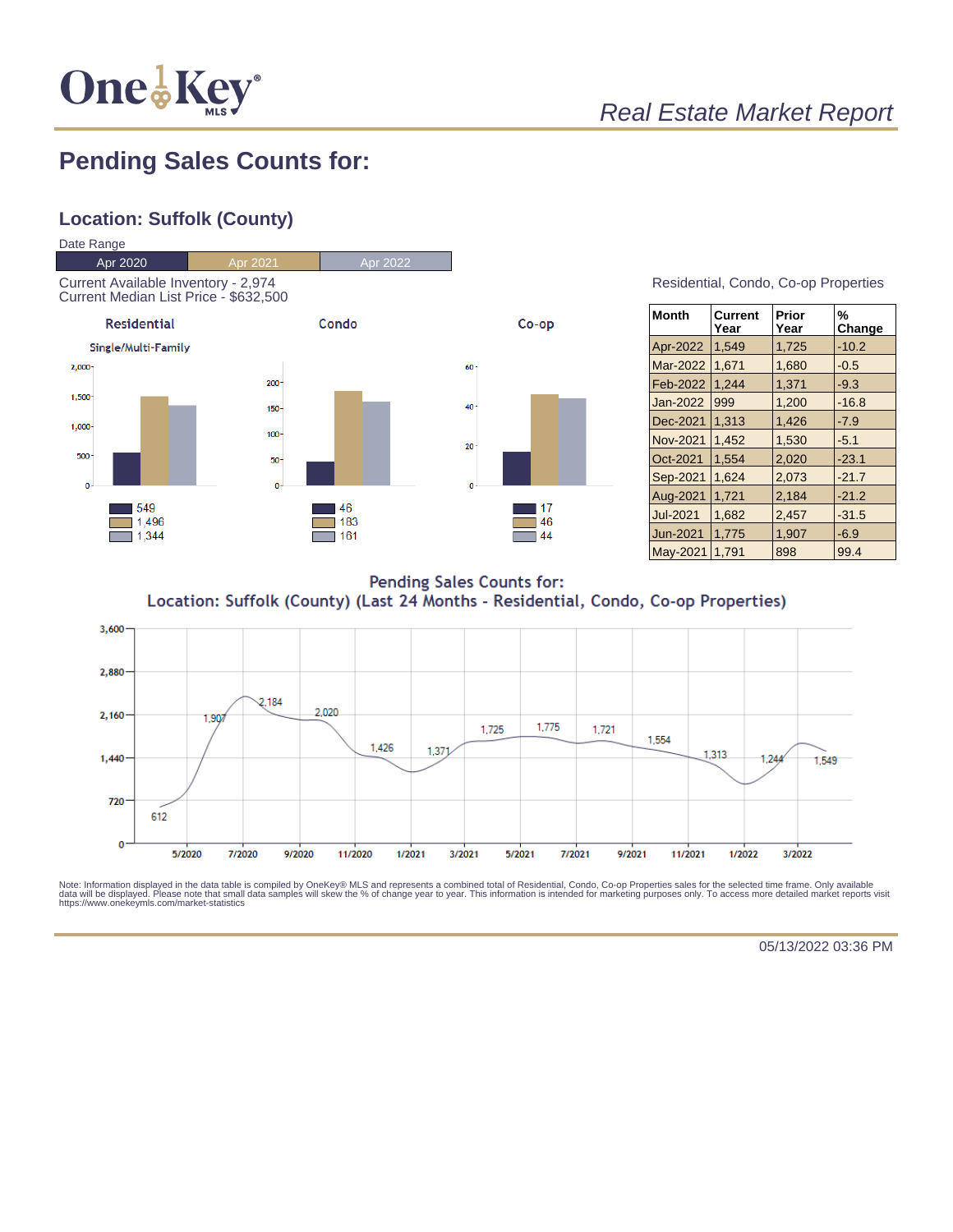

## **Pending Sales Counts for:**

#### **Location: Suffolk (County)**



| Residential, Condo, Co-op Properties |  |  |
|--------------------------------------|--|--|
|                                      |  |  |

| <b>Month</b>    | Current<br>Year | Prior<br>Year | %<br>Change |
|-----------------|-----------------|---------------|-------------|
| Apr-2022        | 1,549           | 1,725         | $-10.2$     |
| <b>Mar-2022</b> | 1,671           | 1,680         | $-0.5$      |
| Feb-2022        | 1.244           | 1,371         | $-9.3$      |
| Jan-2022        | 999             | 1,200         | $-16.8$     |
| Dec-2021        | 1.313           | 1,426         | $-7.9$      |
| Nov-2021        | 1.452           | 1,530         | $-5.1$      |
| Oct-2021        | 1,554           | 2,020         | $-23.1$     |
| Sep-2021        | 1.624           | 2,073         | $-21.7$     |
| Aug-2021        | 1,721           | 2,184         | $-21.2$     |
| <b>Jul-2021</b> | 1,682           | 2,457         | $-31.5$     |
| Jun-2021        | 1,775           | 1,907         | $-6.9$      |
| May-2021        | 1,791           | 898           | 99.4        |

**Pending Sales Counts for:** Location: Suffolk (County) (Last 24 Months - Residential, Condo, Co-op Properties)



Note: Information displayed in the data table is compiled by OneKey® MLS and represents a combined total of Residential, Condo, Co-op Properties sales for the selected time frame. Only available<br>data will be displayed. Pl

05/13/2022 03:36 PM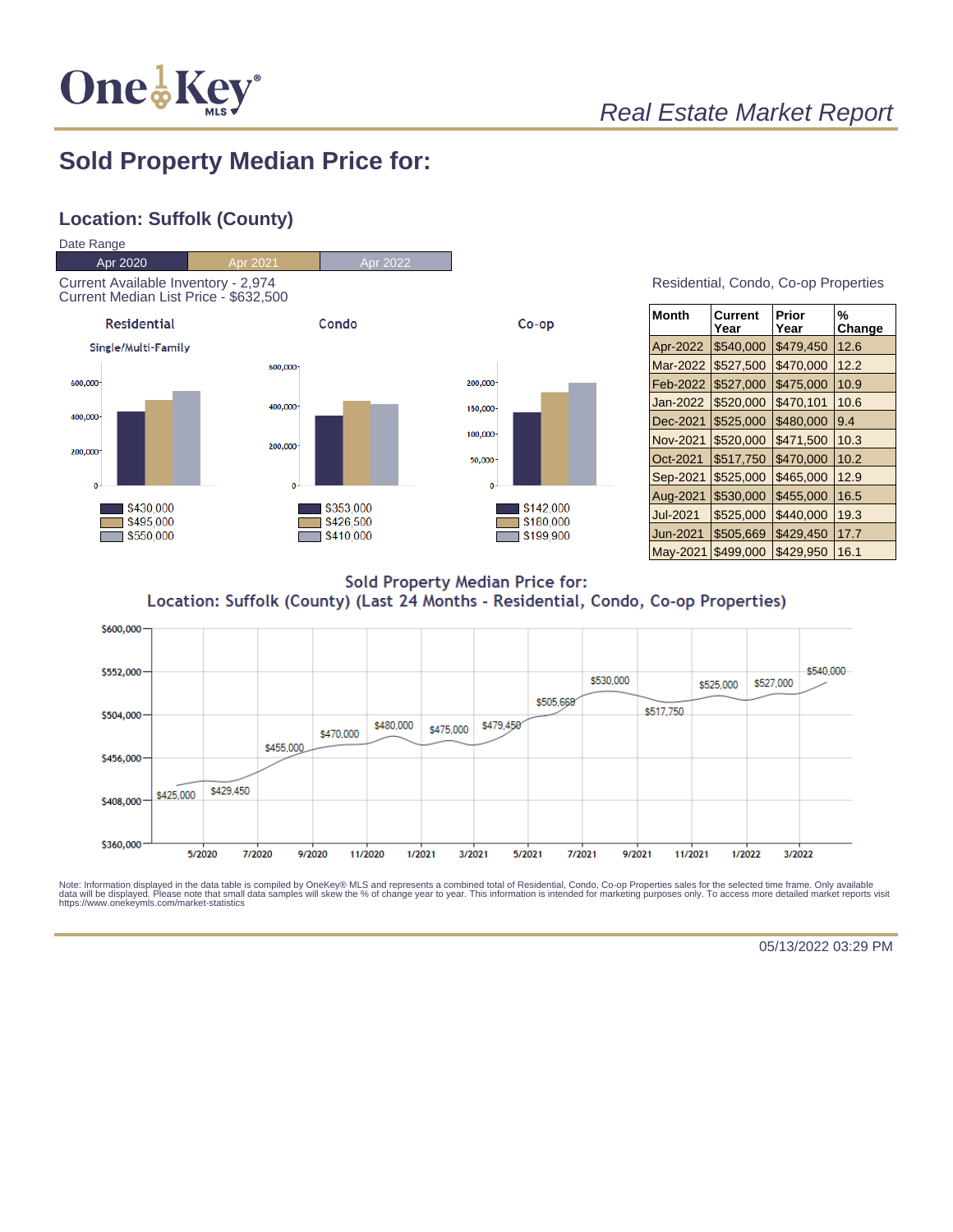

#### **Sold Property Median Price for:**

#### **Location: Suffolk (County)**



| Residential, Condo, Co-op Properties |  |  |
|--------------------------------------|--|--|
|                                      |  |  |

| <b>Month</b>    | Current<br>Year | Prior<br>Year | %<br>Change |
|-----------------|-----------------|---------------|-------------|
| Apr-2022        | \$540,000       | \$479,450     | 12.6        |
| Mar-2022        | \$527,500       | \$470,000     | 12.2        |
| Feb-2022        | \$527,000       | \$475,000     | 10.9        |
| Jan-2022        | \$520,000       | \$470,101     | 10.6        |
| Dec-2021        | \$525,000       | \$480,000     | 9.4         |
| Nov-2021        | \$520,000       | \$471,500     | 10.3        |
| Oct-2021        | \$517,750       | \$470,000     | 10.2        |
| Sep-2021        | \$525,000       | \$465,000     | 12.9        |
| Aug-2021        | \$530,000       | \$455,000     | 16.5        |
| <b>Jul-2021</b> | \$525,000       | \$440,000     | 19.3        |
| Jun-2021        | \$505,669       | \$429,450     | 17.7        |
| <b>May-2021</b> | \$499.000       | \$429.950     | 16.1        |

**Sold Property Median Price for:** Location: Suffolk (County) (Last 24 Months - Residential, Condo, Co-op Properties)



Note: Information displayed in the data table is compiled by OneKey® MLS and represents a combined total of Residential, Condo, Co-op Properties sales for the selected time frame. Only available<br>data will be displayed. Pl

05/13/2022 03:29 PM